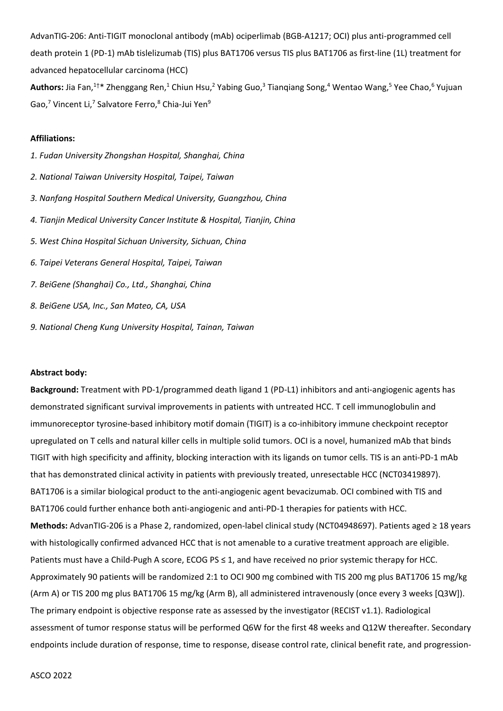AdvanTIG-206: Anti-TIGIT monoclonal antibody (mAb) ociperlimab (BGB-A1217; OCI) plus anti-programmed cell death protein 1 (PD-1) mAb tislelizumab (TIS) plus BAT1706 versus TIS plus BAT1706 as first-line (1L) treatment for advanced hepatocellular carcinoma (HCC)

Authors: Jia Fan,<sup>1†\*</sup> Zhenggang Ren,<sup>1</sup> Chiun Hsu,<sup>2</sup> Yabing Guo,<sup>3</sup> Tianqiang Song,<sup>4</sup> Wentao Wang,<sup>5</sup> Yee Chao,<sup>6</sup> Yujuan Gao,<sup>7</sup> Vincent Li,<sup>7</sup> Salvatore Ferro,<sup>8</sup> Chia-Jui Yen<sup>9</sup>

## **Affiliations:**

*1. Fudan University Zhongshan Hospital, Shanghai, China 2. National Taiwan University Hospital, Taipei, Taiwan 3. Nanfang Hospital Southern Medical University, Guangzhou, China 4. Tianjin Medical University Cancer Institute & Hospital, Tianjin, China 5. West China Hospital Sichuan University, Sichuan, China 6. Taipei Veterans General Hospital, Taipei, Taiwan 7. BeiGene (Shanghai) Co., Ltd., Shanghai, China 8. BeiGene USA, Inc., San Mateo, CA, USA 9. National Cheng Kung University Hospital, Tainan, Taiwan*

## **Abstract body:**

**Background:** Treatment with PD-1/programmed death ligand 1 (PD-L1) inhibitors and anti-angiogenic agents has demonstrated significant survival improvements in patients with untreated HCC. T cell immunoglobulin and immunoreceptor tyrosine-based inhibitory motif domain (TIGIT) is a co-inhibitory immune checkpoint receptor upregulated on T cells and natural killer cells in multiple solid tumors. OCI is a novel, humanized mAb that binds TIGIT with high specificity and affinity, blocking interaction with its ligands on tumor cells. TIS is an anti-PD-1 mAb that has demonstrated clinical activity in patients with previously treated, unresectable HCC (NCT03419897). BAT1706 is a similar biological product to the anti-angiogenic agent bevacizumab. OCI combined with TIS and BAT1706 could further enhance both anti-angiogenic and anti-PD-1 therapies for patients with HCC. **Methods:** AdvanTIG-206 is a Phase 2, randomized, open-label clinical study (NCT04948697). Patients aged ≥ 18 years with histologically confirmed advanced HCC that is not amenable to a curative treatment approach are eligible. Patients must have a Child-Pugh A score, ECOG PS ≤ 1, and have received no prior systemic therapy for HCC. Approximately 90 patients will be randomized 2:1 to OCI 900 mg combined with TIS 200 mg plus BAT1706 15 mg/kg (Arm A) or TIS 200 mg plus BAT1706 15 mg/kg (Arm B), all administered intravenously (once every 3 weeks [Q3W]). The primary endpoint is objective response rate as assessed by the investigator (RECIST v1.1). Radiological assessment of tumor response status will be performed Q6W for the first 48 weeks and Q12W thereafter. Secondary endpoints include duration of response, time to response, disease control rate, clinical benefit rate, and progression